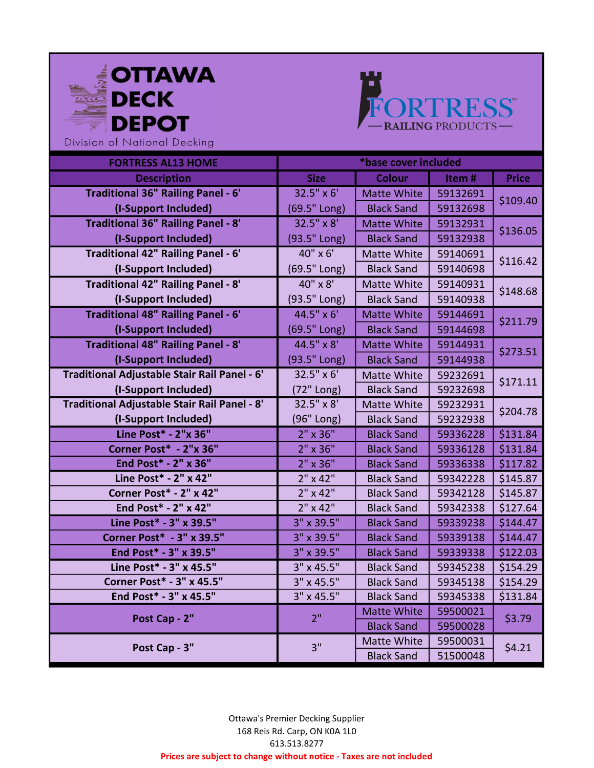



| <b>FORTRESS AL13 HOME</b>                    | *base cover included |                    |          |              |
|----------------------------------------------|----------------------|--------------------|----------|--------------|
| <b>Description</b>                           | <b>Size</b>          | <b>Colour</b>      | Item#    | <b>Price</b> |
| <b>Traditional 36" Railing Panel - 6'</b>    | $32.5'' \times 6'$   | <b>Matte White</b> | 59132691 |              |
| (I-Support Included)                         | (69.5" Long)         | <b>Black Sand</b>  | 59132698 | \$109.40     |
| <b>Traditional 36" Railing Panel - 8'</b>    | $32.5'' \times 8'$   | <b>Matte White</b> | 59132931 |              |
| (I-Support Included)                         | (93.5" Long)         | <b>Black Sand</b>  | 59132938 | \$136.05     |
| Traditional 42" Railing Panel - 6'           | 40" x 6'             | Matte White        | 59140691 | \$116.42     |
| (I-Support Included)                         | (69.5" Long)         | <b>Black Sand</b>  | 59140698 |              |
| Traditional 42" Railing Panel - 8'           | 40" x 8'             | <b>Matte White</b> | 59140931 | \$148.68     |
| (I-Support Included)                         | (93.5" Long)         | <b>Black Sand</b>  | 59140938 |              |
| <b>Traditional 48" Railing Panel - 6'</b>    | 44.5" x 6'           | <b>Matte White</b> | 59144691 | \$211.79     |
| (I-Support Included)                         | (69.5" Long)         | <b>Black Sand</b>  | 59144698 |              |
| <b>Traditional 48" Railing Panel - 8'</b>    | 44.5" x 8'           | <b>Matte White</b> | 59144931 | \$273.51     |
| (I-Support Included)                         | (93.5" Long)         | <b>Black Sand</b>  | 59144938 |              |
| Traditional Adjustable Stair Rail Panel - 6' | $32.5'' \times 6'$   | <b>Matte White</b> | 59232691 | \$171.11     |
| (I-Support Included)                         | (72" Long)           | <b>Black Sand</b>  | 59232698 |              |
| Traditional Adjustable Stair Rail Panel - 8' | $32.5'' \times 8'$   | Matte White        | 59232931 | \$204.78     |
| (I-Support Included)                         | (96" Long)           | <b>Black Sand</b>  | 59232938 |              |
| Line Post* - 2"x 36"                         | 2" x 36"             | <b>Black Sand</b>  | 59336228 | \$131.84     |
| Corner Post* - 2"x 36"                       | $2" \times 36"$      | <b>Black Sand</b>  | 59336128 | \$131.84     |
| End Post* - 2" x 36"                         | $2" \times 36"$      | <b>Black Sand</b>  | 59336338 | \$117.82     |
| Line Post* - 2" x 42"                        | $2" \times 42"$      | <b>Black Sand</b>  | 59342228 | \$145.87     |
| Corner Post* - 2" x 42"                      | $2" \times 42"$      | <b>Black Sand</b>  | 59342128 | \$145.87     |
| End Post* - 2" x 42"                         | 2" x 42"             | <b>Black Sand</b>  | 59342338 | \$127.64     |
| Line Post* - 3" x 39.5"                      | 3" x 39.5"           | <b>Black Sand</b>  | 59339238 | \$144.47     |
| <b>Corner Post* - 3" x 39.5"</b>             | 3" x 39.5"           | <b>Black Sand</b>  | 59339138 | \$144.47     |
| End Post* - 3" x 39.5"                       | 3" x 39.5"           | <b>Black Sand</b>  | 59339338 | \$122.03     |
| Line Post* - 3" x 45.5"                      | 3" x 45.5"           | <b>Black Sand</b>  | 59345238 | \$154.29     |
| <b>Corner Post* - 3" x 45.5"</b>             | 3" x 45.5"           | <b>Black Sand</b>  | 59345138 | \$154.29     |
| End Post* - 3" x 45.5"                       | 3" x 45.5"           | <b>Black Sand</b>  | 59345338 | \$131.84     |
| Post Cap - 2"                                | 2 <sup>0</sup>       | <b>Matte White</b> | 59500021 | \$3.79       |
|                                              |                      | <b>Black Sand</b>  | 59500028 |              |
| Post Cap - 3"                                | 3"                   | Matte White        | 59500031 | \$4.21       |
|                                              |                      | <b>Black Sand</b>  | 51500048 |              |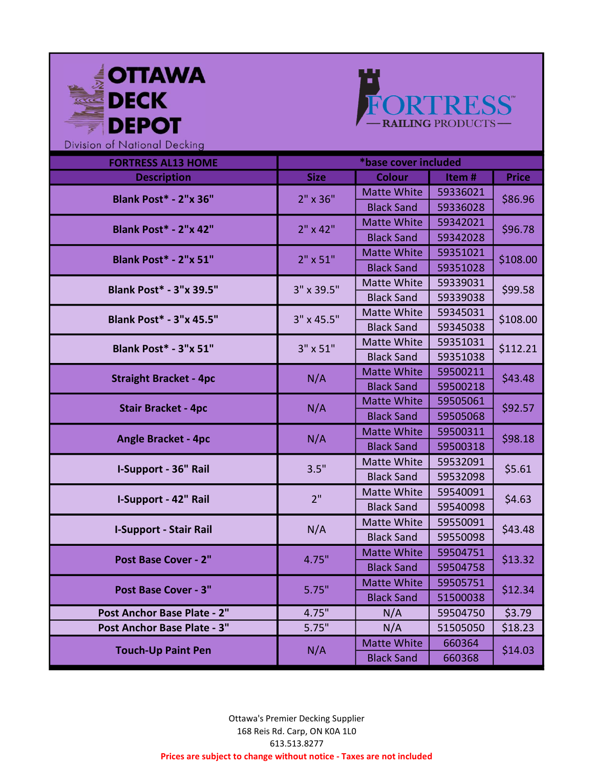



| <b>FORTRESS AL13 HOME</b>      | *base cover included |                    |          |              |
|--------------------------------|----------------------|--------------------|----------|--------------|
| <b>Description</b>             | <b>Size</b>          | <b>Colour</b>      | Item#    | <b>Price</b> |
| <b>Blank Post* - 2"x 36"</b>   | $2" \times 36"$      | <b>Matte White</b> | 59336021 |              |
|                                |                      | <b>Black Sand</b>  | 59336028 | \$86.96      |
| <b>Blank Post* - 2"x 42"</b>   | $2" \times 42"$      | <b>Matte White</b> | 59342021 | \$96.78      |
|                                |                      | <b>Black Sand</b>  | 59342028 |              |
| <b>Blank Post* - 2"x 51"</b>   | $2" \times 51"$      | <b>Matte White</b> | 59351021 | \$108.00     |
|                                |                      | <b>Black Sand</b>  | 59351028 |              |
| <b>Blank Post* - 3"x 39.5"</b> | 3" x 39.5"           | Matte White        | 59339031 | \$99.58      |
|                                |                      | <b>Black Sand</b>  | 59339038 |              |
| <b>Blank Post* - 3"x 45.5"</b> | 3" x 45.5"           | Matte White        | 59345031 | \$108.00     |
|                                |                      | <b>Black Sand</b>  | 59345038 |              |
| Blank Post* - 3"x 51"          | 3" x 51"             | Matte White        | 59351031 | \$112.21     |
|                                |                      | <b>Black Sand</b>  | 59351038 |              |
| <b>Straight Bracket - 4pc</b>  | N/A                  | <b>Matte White</b> | 59500211 | \$43.48      |
|                                |                      | <b>Black Sand</b>  | 59500218 |              |
| <b>Stair Bracket - 4pc</b>     | N/A                  | <b>Matte White</b> | 59505061 | \$92.57      |
|                                |                      | <b>Black Sand</b>  | 59505068 |              |
| <b>Angle Bracket - 4pc</b>     | N/A                  | <b>Matte White</b> | 59500311 | \$98.18      |
|                                |                      | <b>Black Sand</b>  | 59500318 |              |
| I-Support - 36" Rail           | 3.5"                 | <b>Matte White</b> | 59532091 | \$5.61       |
|                                |                      | <b>Black Sand</b>  | 59532098 |              |
| I-Support - 42" Rail           | 2"                   | <b>Matte White</b> | 59540091 | \$4.63       |
|                                |                      | <b>Black Sand</b>  | 59540098 |              |
| <b>I-Support - Stair Rail</b>  | N/A                  | Matte White        | 59550091 | \$43.48      |
|                                |                      | <b>Black Sand</b>  | 59550098 |              |
| Post Base Cover - 2"           | 4.75"                | <b>Matte White</b> | 59504751 | \$13.32      |
|                                |                      | <b>Black Sand</b>  | 59504758 |              |
| Post Base Cover - 3"           | 5.75"                | <b>Matte White</b> | 59505751 | \$12.34      |
|                                |                      | <b>Black Sand</b>  | 51500038 |              |
| Post Anchor Base Plate - 2"    | 4.75"                | N/A                | 59504750 | \$3.79       |
| Post Anchor Base Plate - 3"    | 5.75"                | N/A                | 51505050 | \$18.23      |
| <b>Touch-Up Paint Pen</b>      | N/A                  | <b>Matte White</b> | 660364   | \$14.03      |
|                                |                      | <b>Black Sand</b>  | 660368   |              |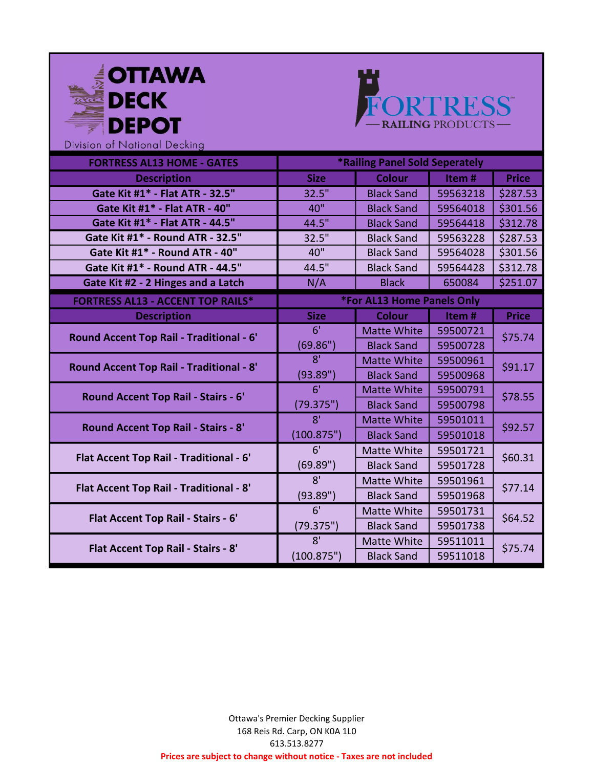| <b>OTTAWA</b><br>DECK<br><b>DEPOT</b><br>Division of National Decking |                |                                | FORTRESS" |              |
|-----------------------------------------------------------------------|----------------|--------------------------------|-----------|--------------|
| <b>FORTRESS AL13 HOME - GATES</b>                                     |                | *Railing Panel Sold Seperately |           |              |
| <b>Description</b>                                                    | <b>Size</b>    | <b>Colour</b>                  | Item#     | <b>Price</b> |
| Gate Kit #1* - Flat ATR - 32.5"                                       | 32.5"          | <b>Black Sand</b>              | 59563218  | \$287.53     |
| Gate Kit #1* - Flat ATR - 40"                                         | 40"            | <b>Black Sand</b>              | 59564018  | \$301.56     |
| Gate Kit #1* - Flat ATR - 44.5"                                       | 44.5"          | <b>Black Sand</b>              | 59564418  | \$312.78     |
| Gate Kit #1* - Round ATR - 32.5"                                      | 32.5"          | <b>Black Sand</b>              | 59563228  | \$287.53     |
| Gate Kit #1* - Round ATR - 40"                                        | 40"            | <b>Black Sand</b>              | 59564028  | \$301.56     |
| Gate Kit #1* - Round ATR - 44.5"                                      | 44.5"          | <b>Black Sand</b>              | 59564428  | \$312.78     |
| Gate Kit #2 - 2 Hinges and a Latch                                    | N/A            | <b>Black</b>                   | 650084    | \$251.07     |
| <b>FORTRESS AL13 - ACCENT TOP RAILS*</b>                              |                | *For AL13 Home Panels Only     |           |              |
|                                                                       |                |                                |           |              |
| <b>Description</b>                                                    | <b>Size</b>    | <b>Colour</b>                  | Item#     | <b>Price</b> |
|                                                                       | 6 <sup>T</sup> | <b>Matte White</b>             | 59500721  |              |
| <b>Round Accent Top Rail - Traditional - 6'</b>                       | (69.86")       | <b>Black Sand</b>              | 59500728  | \$75.74      |
|                                                                       | $\overline{8}$ | <b>Matte White</b>             | 59500961  |              |
| <b>Round Accent Top Rail - Traditional - 8'</b>                       | (93.89")       | <b>Black Sand</b>              | 59500968  | \$91.17      |
|                                                                       | 6'             | <b>Matte White</b>             | 59500791  |              |
| <b>Round Accent Top Rail - Stairs - 6'</b>                            | (79.375")      | <b>Black Sand</b>              | 59500798  | \$78.55      |
|                                                                       | 8 <sup>1</sup> | <b>Matte White</b>             | 59501011  |              |
| <b>Round Accent Top Rail - Stairs - 8'</b>                            | (100.875")     | <b>Black Sand</b>              | 59501018  | \$92.57      |
|                                                                       | 6'             | Matte White                    | 59501721  |              |
| Flat Accent Top Rail - Traditional - 6'                               | (69.89")       | <b>Black Sand</b>              | 59501728  | \$60.31      |
|                                                                       | 8'             | <b>Matte White</b>             | 59501961  |              |
| <b>Flat Accent Top Rail - Traditional - 8'</b>                        | (93.89")       | <b>Black Sand</b>              | 59501968  | \$77.14      |
|                                                                       | 6'             | Matte White                    | 59501731  |              |
| Flat Accent Top Rail - Stairs - 6'                                    | (79.375")      | <b>Black Sand</b>              | 59501738  | \$64.52      |
| Flat Accent Top Rail - Stairs - 8'                                    | 8 <sup>T</sup> | Matte White                    | 59511011  | \$75.74      |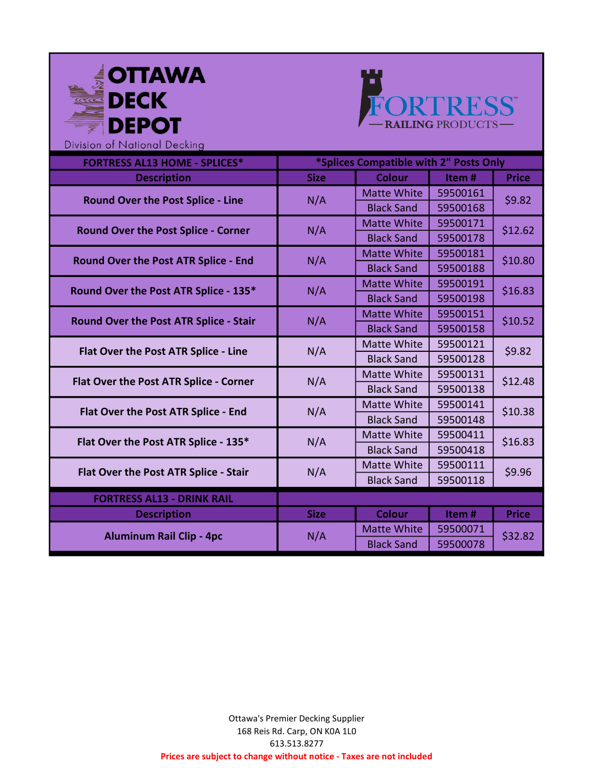



| <b>FORTRESS AL13 HOME - SPLICES*</b>          | *Splices Compatible with 2" Posts Only |                    |          |              |
|-----------------------------------------------|----------------------------------------|--------------------|----------|--------------|
| <b>Description</b>                            | <b>Size</b>                            | <b>Colour</b>      | Item#    | <b>Price</b> |
| <b>Round Over the Post Splice - Line</b>      | N/A                                    | <b>Matte White</b> | 59500161 | \$9.82       |
|                                               |                                        | <b>Black Sand</b>  | 59500168 |              |
| Round Over the Post Splice - Corner           | N/A                                    | <b>Matte White</b> | 59500171 | \$12.62      |
|                                               |                                        | <b>Black Sand</b>  | 59500178 |              |
| Round Over the Post ATR Splice - End          | N/A                                    | <b>Matte White</b> | 59500181 | \$10.80      |
|                                               |                                        | <b>Black Sand</b>  | 59500188 |              |
| Round Over the Post ATR Splice - 135*         | N/A                                    | <b>Matte White</b> | 59500191 | \$16.83      |
|                                               |                                        | <b>Black Sand</b>  | 59500198 |              |
| <b>Round Over the Post ATR Splice - Stair</b> | N/A                                    | <b>Matte White</b> | 59500151 | \$10.52      |
|                                               |                                        | <b>Black Sand</b>  | 59500158 |              |
| Flat Over the Post ATR Splice - Line          | N/A                                    | Matte White        | 59500121 | \$9.82       |
|                                               |                                        | <b>Black Sand</b>  | 59500128 |              |
| Flat Over the Post ATR Splice - Corner        | N/A                                    | Matte White        | 59500131 | \$12.48      |
|                                               |                                        | <b>Black Sand</b>  | 59500138 |              |
| Flat Over the Post ATR Splice - End           | N/A                                    | Matte White        | 59500141 | \$10.38      |
|                                               |                                        | <b>Black Sand</b>  | 59500148 |              |
| Flat Over the Post ATR Splice - 135*          | N/A                                    | Matte White        | 59500411 | \$16.83      |
|                                               |                                        | <b>Black Sand</b>  | 59500418 |              |
| Flat Over the Post ATR Splice - Stair         | N/A                                    | Matte White        | 59500111 | \$9.96       |
|                                               |                                        | <b>Black Sand</b>  | 59500118 |              |
| <b>FORTRESS AL13 - DRINK RAIL</b>             |                                        |                    |          |              |
| <b>Description</b>                            | <b>Size</b>                            | <b>Colour</b>      | Item#    | <b>Price</b> |
|                                               | N/A                                    | <b>Matte White</b> | 59500071 | \$32.82      |
| <b>Aluminum Rail Clip - 4pc</b>               |                                        | <b>Black Sand</b>  | 59500078 |              |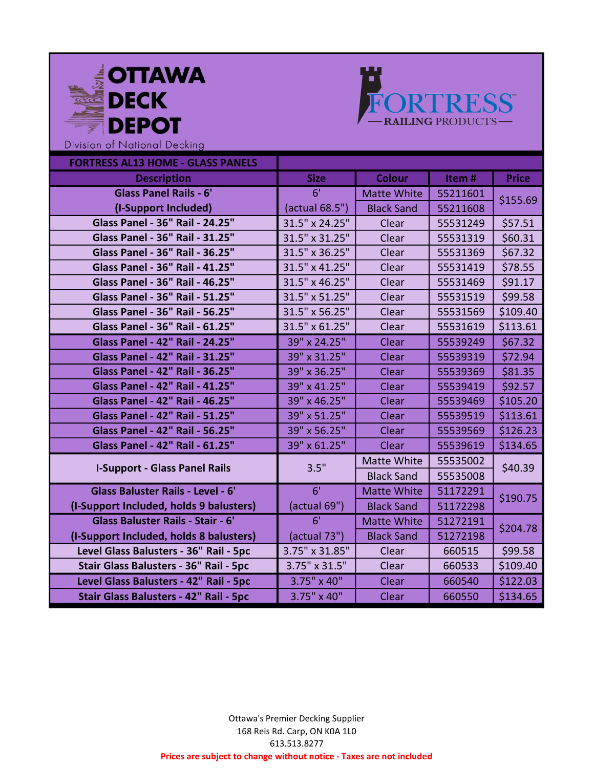



| <b>FORTRESS AL13 HOME - GLASS PANELS</b> |                    |                    |          |              |
|------------------------------------------|--------------------|--------------------|----------|--------------|
| <b>Description</b>                       | <b>Size</b>        | <b>Colour</b>      | Item#    | <b>Price</b> |
| <b>Glass Panel Rails - 6'</b>            | 6 <sup>T</sup>     | <b>Matte White</b> | 55211601 |              |
| (I-Support Included)                     | (actual 68.5")     | <b>Black Sand</b>  | 55211608 | \$155.69     |
| <b>Glass Panel - 36" Rail - 24.25"</b>   | 31.5" x 24.25"     | Clear              | 55531249 | \$57.51      |
| <b>Glass Panel - 36" Rail - 31.25"</b>   | 31.5" x 31.25"     | Clear              | 55531319 | \$60.31      |
| Glass Panel - 36" Rail - 36.25"          | 31.5" x 36.25"     | Clear              | 55531369 | \$67.32      |
| <b>Glass Panel - 36" Rail - 41.25"</b>   | 31.5" x 41.25"     | Clear              | 55531419 | \$78.55      |
| Glass Panel - 36" Rail - 46.25"          | 31.5" x 46.25"     | Clear              | 55531469 | \$91.17      |
| Glass Panel - 36" Rail - 51.25"          | 31.5" x 51.25"     | Clear              | 55531519 | \$99.58      |
| Glass Panel - 36" Rail - 56.25"          | 31.5" x 56.25"     | Clear              | 55531569 | \$109.40     |
| Glass Panel - 36" Rail - 61.25"          | 31.5" x 61.25"     | Clear              | 55531619 | \$113.61     |
| <b>Glass Panel - 42" Rail - 24.25"</b>   | 39" x 24.25"       | Clear              | 55539249 | \$67.32      |
| <b>Glass Panel - 42" Rail - 31.25"</b>   | 39" x 31.25"       | Clear              | 55539319 | \$72.94      |
| <b>Glass Panel - 42" Rail - 36.25"</b>   | 39" x 36.25"       | Clear              | 55539369 | \$81.35      |
| <b>Glass Panel - 42" Rail - 41.25"</b>   | 39" x 41.25"       | Clear              | 55539419 | \$92.57      |
| <b>Glass Panel - 42" Rail - 46.25"</b>   | 39" x 46.25"       | Clear              | 55539469 | \$105.20     |
| <b>Glass Panel - 42" Rail - 51.25"</b>   | 39" x 51.25"       | Clear              | 55539519 | \$113.61     |
| <b>Glass Panel - 42" Rail - 56.25"</b>   | 39" x 56.25"       | Clear              | 55539569 | \$126.23     |
| <b>Glass Panel - 42" Rail - 61.25"</b>   | 39" x 61.25"       | Clear              | 55539619 | \$134.65     |
| <b>I-Support - Glass Panel Rails</b>     | 3.5"               | <b>Matte White</b> | 55535002 | \$40.39      |
|                                          |                    | <b>Black Sand</b>  | 55535008 |              |
| Glass Baluster Rails - Level - 6'        | 6'                 | <b>Matte White</b> | 51172291 | \$190.75     |
| (I-Support Included, holds 9 balusters)  | (actual 69")       | <b>Black Sand</b>  | 51172298 |              |
| Glass Baluster Rails - Stair - 6'        | 6 <sup>1</sup>     | <b>Matte White</b> | 51272191 | \$204.78     |
| (I-Support Included, holds 8 balusters)  | (actual 73")       | <b>Black Sand</b>  | 51272198 |              |
| Level Glass Balusters - 36" Rail - 5pc   | 3.75" x 31.85"     | Clear              | 660515   | \$99.58      |
| Stair Glass Balusters - 36" Rail - 5pc   | 3.75" x 31.5"      | Clear              | 660533   | \$109.40     |
| Level Glass Balusters - 42" Rail - 5pc   | 3.75" x 40"        | Clear              | 660540   | \$122.03     |
| Stair Glass Balusters - 42" Rail - 5pc   | $3.75" \times 40"$ | Clear              | 660550   | \$134.65     |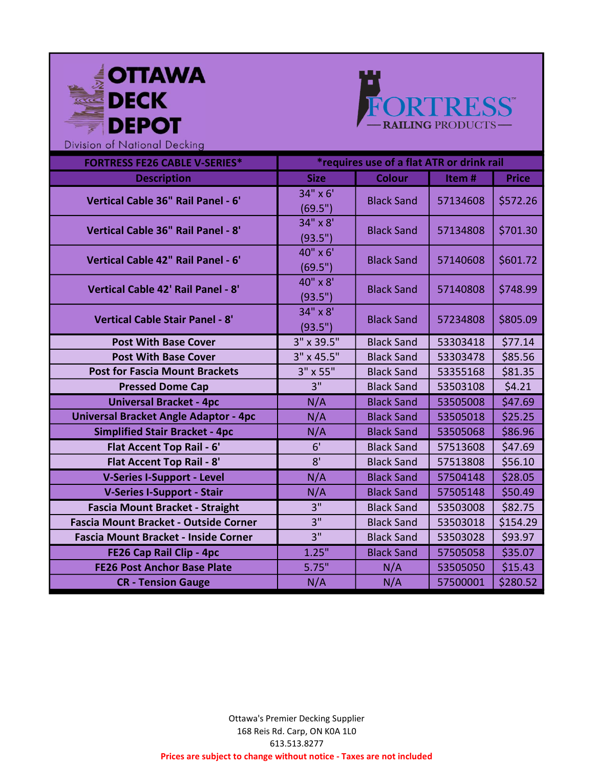



| <b>FORTRESS FE26 CABLE V-SERIES*</b>         | *requires use of a flat ATR or drink rail |                   |          |              |
|----------------------------------------------|-------------------------------------------|-------------------|----------|--------------|
| <b>Description</b>                           | <b>Size</b>                               | <b>Colour</b>     | Item#    | <b>Price</b> |
| Vertical Cable 36" Rail Panel - 6'           | 34" x 6'                                  | <b>Black Sand</b> | 57134608 | \$572.26     |
|                                              | (69.5")                                   |                   |          |              |
| Vertical Cable 36" Rail Panel - 8'           | 34" x 8'                                  | <b>Black Sand</b> | 57134808 | \$701.30     |
|                                              | (93.5")                                   |                   |          |              |
| Vertical Cable 42" Rail Panel - 6'           | 40" x 6'                                  | <b>Black Sand</b> | 57140608 | \$601.72     |
|                                              | (69.5")                                   |                   |          |              |
| Vertical Cable 42' Rail Panel - 8'           | 40" x 8'                                  | <b>Black Sand</b> | 57140808 | \$748.99     |
|                                              | (93.5")                                   |                   |          |              |
| <b>Vertical Cable Stair Panel - 8'</b>       | 34" x 8'                                  | <b>Black Sand</b> | 57234808 | \$805.09     |
|                                              | (93.5")                                   |                   |          |              |
| <b>Post With Base Cover</b>                  | 3" x 39.5"                                | <b>Black Sand</b> | 53303418 | \$77.14      |
| <b>Post With Base Cover</b>                  | 3" x 45.5"                                | <b>Black Sand</b> | 53303478 | \$85.56      |
| <b>Post for Fascia Mount Brackets</b>        | 3" x 55"                                  | <b>Black Sand</b> | 53355168 | \$81.35      |
| <b>Pressed Dome Cap</b>                      | 3"                                        | <b>Black Sand</b> | 53503108 | \$4.21       |
| <b>Universal Bracket - 4pc</b>               | N/A                                       | <b>Black Sand</b> | 53505008 | \$47.69      |
| <b>Universal Bracket Angle Adaptor - 4pc</b> | N/A                                       | <b>Black Sand</b> | 53505018 | \$25.25      |
| <b>Simplified Stair Bracket - 4pc</b>        | N/A                                       | <b>Black Sand</b> | 53505068 | \$86.96      |
| Flat Accent Top Rail - 6'                    | 6'                                        | <b>Black Sand</b> | 57513608 | \$47.69      |
| <b>Flat Accent Top Rail - 8'</b>             | 8'                                        | <b>Black Sand</b> | 57513808 | \$56.10      |
| <b>V-Series I-Support - Level</b>            | N/A                                       | <b>Black Sand</b> | 57504148 | \$28.05      |
| <b>V-Series I-Support - Stair</b>            | N/A                                       | <b>Black Sand</b> | 57505148 | \$50.49      |
| <b>Fascia Mount Bracket - Straight</b>       | 3"                                        | <b>Black Sand</b> | 53503008 | \$82.75      |
| <b>Fascia Mount Bracket - Outside Corner</b> | 3"                                        | <b>Black Sand</b> | 53503018 | \$154.29     |
| <b>Fascia Mount Bracket - Inside Corner</b>  | 3"                                        | <b>Black Sand</b> | 53503028 | \$93.97      |
| FE26 Cap Rail Clip - 4pc                     | 1.25"                                     | <b>Black Sand</b> | 57505058 | \$35.07      |
| <b>FE26 Post Anchor Base Plate</b>           | 5.75"                                     | N/A               | 53505050 | \$15.43      |
| <b>CR</b> - Tension Gauge                    | N/A                                       | N/A               | 57500001 | \$280.52     |